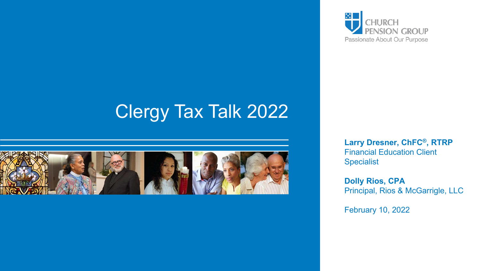

## Clergy Tax Talk 2022



**Larry Dresner, ChFC®, RTRP** Financial Education Client Specialist

**Dolly Rios, CPA** Principal, Rios & McGarrigle, LLC

February 10, 2022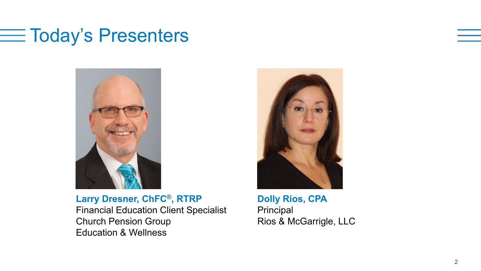### $\equiv$  Today's Presenters



**Larry Dresner, ChFC®, RTRP** Financial Education Client Specialist Church Pension Group Education & Wellness



**Dolly Rios, CPA Principal** Rios & McGarrigle, LLC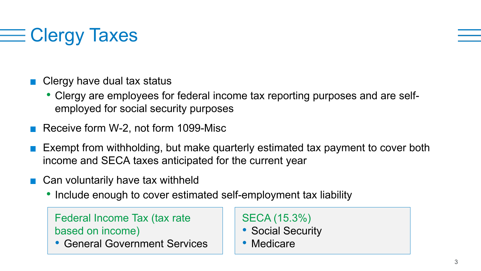# **E Clergy Taxes**

- Clergy have dual tax status
	- Clergy are employees for federal income tax reporting purposes and are selfemployed for social security purposes
- Receive form W-2, not form 1099-Misc
- Exempt from withholding, but make quarterly estimated tax payment to cover both income and SECA taxes anticipated for the current year
- Can voluntarily have tax withheld
	- Include enough to cover estimated self-employment tax liability

Federal Income Tax (tax rate based on income)

• General Government Services

SECA (15.3%)

- Social Security
- Medicare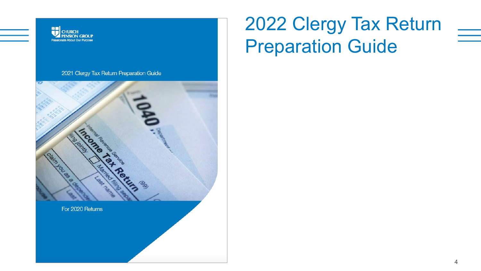

# 2022 Clergy Tax Return Preparation Guide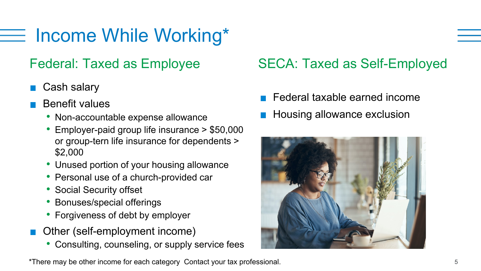# $\equiv$  Income While Working\*

- Cash salary
- Benefit values
	- Non-accountable expense allowance
	- Employer-paid group life insurance > \$50,000 or group-tern life insurance for dependents > \$2,000
	- Unused portion of your housing allowance
	- Personal use of a church-provided car
	- Social Security offset
	- Bonuses/special offerings
	- Forgiveness of debt by employer
- Other (self-employment income)
	- Consulting, counseling, or supply service fees

#### \*There may be other income for each category Contact your tax professional. 5

### Federal: Taxed as Employee SECA: Taxed as Self-Employed

- Federal taxable earned income
- Housing allowance exclusion

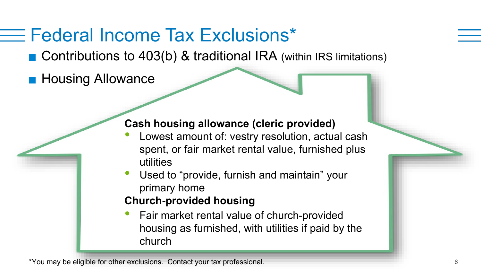## Federal Income Tax Exclusions\*

■ Contributions to 403(b) & traditional IRA (within IRS limitations)

**Housing Allowance** 

#### **Cash housing allowance (cleric provided)**

- Lowest amount of: vestry resolution, actual cash spent, or fair market rental value, furnished plus utilities
- Used to "provide, furnish and maintain" your primary home

#### **Church-provided housing**

• Fair market rental value of church-provided housing as furnished, with utilities if paid by the church

\*You may be eligible for other exclusions. Contact your tax professional. 6 6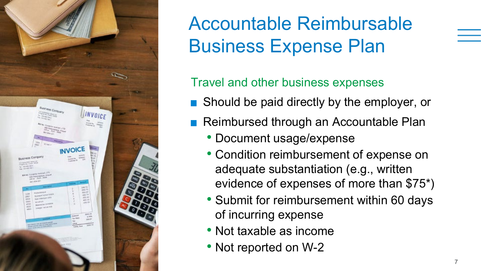

Accountable Reimbursable Business Expense Plan

Travel and other business expenses

- **Should be paid directly by the employer, or**
- Reimbursed through an Accountable Plan
	- Document usage/expense
	- Condition reimbursement of expense on adequate substantiation (e.g., written evidence of expenses of more than \$75\*)
	- Submit for reimbursement within 60 days of incurring expense
	- Not taxable as income
	- Not reported on W-2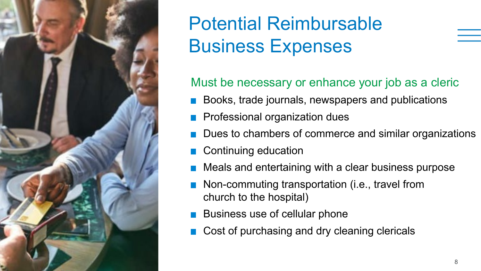

## Potential Reimbursable Business Expenses

Must be necessary or enhance your job as a cleric

- Books, trade journals, newspapers and publications
- **Professional organization dues**
- Dues to chambers of commerce and similar organizations
- Continuing education
- Meals and entertaining with a clear business purpose
- Non-commuting transportation (i.e., travel from church to the hospital)
- Business use of cellular phone
- Cost of purchasing and dry cleaning clericals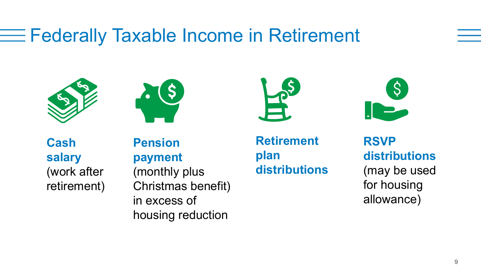## **EXA** Federally Taxable Income in Retirement









 **Cash salary**  (work after retirement) **Pension payment**  (monthly plus Christmas benefit) in excess of housing reduction 

**Retirement plan distributions**

**RSVP distributions**  (may be used for housing allowance)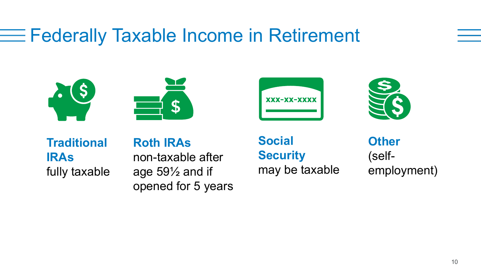## **EXA** Federally Taxable Income in Retirement









**Traditional IRAs** fully taxable

**Roth IRAs** non-taxable after age 59½ and if opened for 5 years

**Social Security**  may be taxable

**Other**  (selfemployment)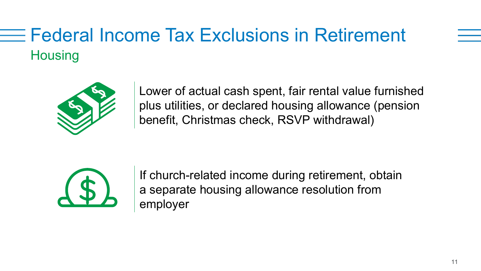## Federal Income Tax Exclusions in Retirement **Housing**



Lower of actual cash spent, fair rental value furnished plus utilities, or declared housing allowance (pension benefit, Christmas check, RSVP withdrawal)



If church-related income during retirement, obtain a separate housing allowance resolution from employer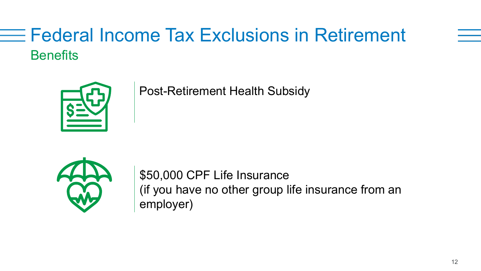## **Federal Income Tax Exclusions in Retirement Benefits**



Post-Retirement Health Subsidy



\$50,000 CPF Life Insurance (if you have no other group life insurance from an employer)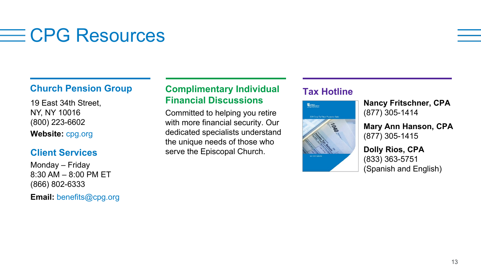## $\equiv$  CPG Resources

19 East 34th Street, NY, NY 10016 (800) 223-6602 **Website:** cpg.org

#### **Client Services**

Monday – Friday  $8:30$  AM  $- 8:00$  PM FT (866) 802-6333

**Email:** benefits@cpg.org

#### **Church Pension Group 6 Complimentary Individual 17 Tax Hotline Financial Discussions**

Committed to helping you retire with more financial security. Our dedicated specialists understand the unique needs of those who serve the Episcopal Church.



**Nancy Fritschner, CPA** (877) 305-1414

**Mary Ann Hanson, CPA** (877) 305-1415

#### **Dolly Rios, CPA** (833) 363-5751 (Spanish and English)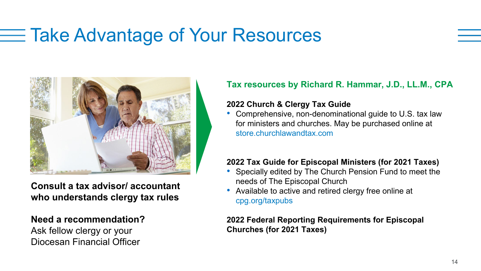## Take Advantage of Your Resources



**Consult a tax advisor/ accountant who understands clergy tax rules** 

#### **Need a recommendation?**

Ask fellow clergy or your Diocesan Financial Officer

#### **Tax resources by Richard R. Hammar, J.D., LL.M., CPA**

#### **2022 Church & Clergy Tax Guide**

• Comprehensive, non-denominational guide to U.S. tax law for ministers and churches. May be purchased online at store.churchlawandtax.com

#### **2022 Tax Guide for Episcopal Ministers (for 2021 Taxes)**

- Specially edited by The Church Pension Fund to meet the needs of The Episcopal Church
- Available to active and retired clergy free online at cpg.org/taxpubs

#### **2022 Federal Reporting Requirements for Episcopal Churches (for 2021 Taxes)**